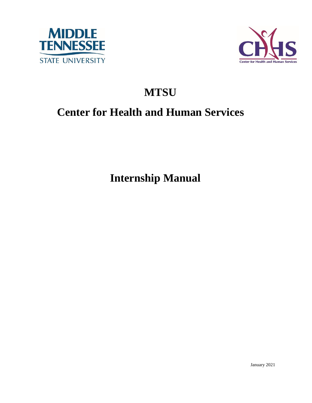



# **MTSU**

# **Center for Health and Human Services**

**Internship Manual**

January 2021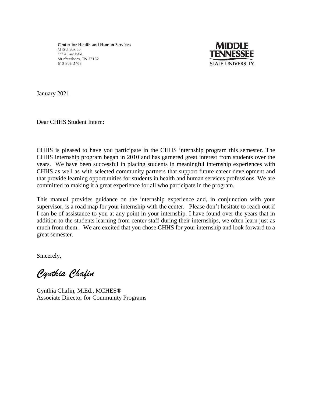**Center for Health and Human Services** MTSU Box 99 1114 East Lytle Murfreesboro, TN 37132 615-898-5493



January 2021

Dear CHHS Student Intern:

CHHS is pleased to have you participate in the CHHS internship program this semester. The CHHS internship program began in 2010 and has garnered great interest from students over the years. We have been successful in placing students in meaningful internship experiences with CHHS as well as with selected community partners that support future career development and that provide learning opportunities for students in health and human services professions. We are committed to making it a great experience for all who participate in the program.

This manual provides guidance on the internship experience and, in conjunction with your supervisor, is a road map for your internship with the center. Please don't hesitate to reach out if I can be of assistance to you at any point in your internship. I have found over the years that in addition to the students learning from center staff during their internships, we often learn just as much from them. We are excited that you chose CHHS for your internship and look forward to a great semester.

Sincerely,

*Cynthia Chafin*

Cynthia Chafin, M.Ed., MCHES® Associate Director for Community Programs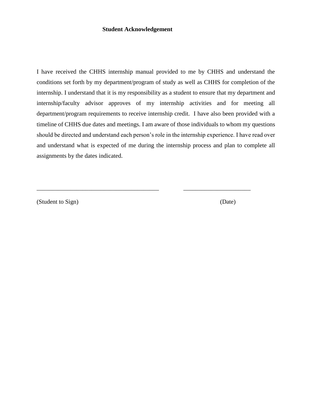#### **Student Acknowledgement**

I have received the CHHS internship manual provided to me by CHHS and understand the conditions set forth by my department/program of study as well as CHHS for completion of the internship. I understand that it is my responsibility as a student to ensure that my department and internship/faculty advisor approves of my internship activities and for meeting all department/program requirements to receive internship credit. I have also been provided with a timeline of CHHS due dates and meetings. I am aware of those individuals to whom my questions should be directed and understand each person's role in the internship experience. I have read over and understand what is expected of me during the internship process and plan to complete all assignments by the dates indicated.

\_\_\_\_\_\_\_\_\_\_\_\_\_\_\_\_\_\_\_\_\_\_\_\_\_\_\_\_\_\_\_\_\_\_\_\_\_\_\_\_ \_\_\_\_\_\_\_\_\_\_\_\_\_\_\_\_\_\_\_\_\_\_

(Student to Sign) (Date)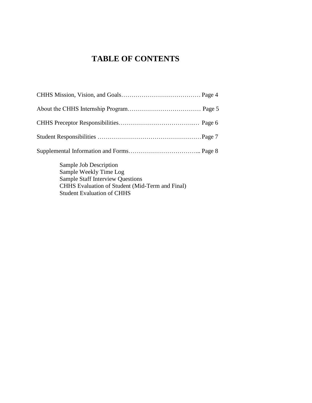# **TABLE OF CONTENTS**

| Sample Job Description |  |
|------------------------|--|

 Sample Weekly Time Log Sample Staff Interview Questions CHHS Evaluation of Student (Mid-Term and Final) Student Evaluation of CHHS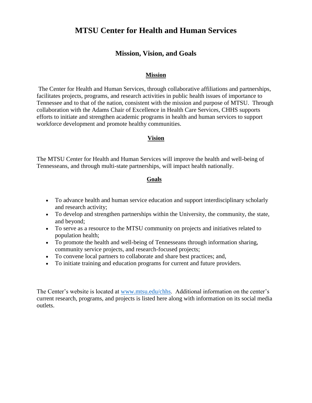# **MTSU Center for Health and Human Services**

### **Mission, Vision, and Goals**

#### **Mission**

The Center for Health and Human Services, through collaborative affiliations and partnerships, facilitates projects, programs, and research activities in public health issues of importance to Tennessee and to that of the nation, consistent with the mission and purpose of MTSU. Through collaboration with the Adams Chair of Excellence in Health Care Services, CHHS supports efforts to initiate and strengthen academic programs in health and human services to support workforce development and promote healthy communities.

#### **Vision**

The MTSU Center for Health and Human Services will improve the health and well-being of Tennesseans, and through multi-state partnerships, will impact health nationally.

#### **Goals**

- To advance health and human service education and support interdisciplinary scholarly and research activity;
- To develop and strengthen partnerships within the University, the community, the state, and beyond;
- To serve as a resource to the MTSU community on projects and initiatives related to population health;
- To promote the health and well-being of Tennesseans through information sharing, community service projects, and research-focused projects;
- To convene local partners to collaborate and share best practices; and,
- To initiate training and education programs for current and future providers.

The Center's website is located at [www.mtsu.edu/chhs.](http://www.mtsu.edu/chhs) Additional information on the center's current research, programs, and projects is listed here along with information on its social media outlets.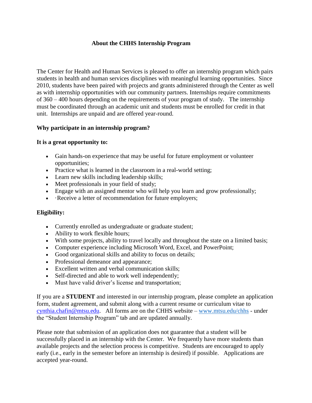#### **About the CHHS Internship Program**

The Center for Health and Human Services is pleased to offer an internship program which pairs students in health and human services disciplines with meaningful learning opportunities. Since 2010, students have been paired with projects and grants administered through the Center as well as with internship opportunities with our community partners. Internships require commitments of 360 – 400 hours depending on the requirements of your program of study. The internship must be coordinated through an academic unit and students must be enrolled for credit in that unit. Internships are unpaid and are offered year-round.

#### **Why participate in an internship program?**

#### **It is a great opportunity to:**

- Gain hands-on experience that may be useful for future employment or volunteer opportunities;
- Practice what is learned in the classroom in a real-world setting;
- Learn new skills including leadership skills;
- Meet professionals in your field of study;
- Engage with an assigned mentor who will help you learn and grow professionally;
- Receive a letter of recommendation for future employers;

#### **Eligibility:**

- Currently enrolled as undergraduate or graduate student;
- Ability to work flexible hours;
- With some projects, ability to travel locally and throughout the state on a limited basis;
- Computer experience including Microsoft Word, Excel, and PowerPoint;
- Good organizational skills and ability to focus on details;
- Professional demeanor and appearance;
- Excellent written and verbal communication skills;
- Self-directed and able to work well independently;
- Must have valid driver's license and transportation;

If you are a **STUDENT** and interested in our internship program, please complete an [application](https://www.mtsu.edu/chhs/2020-2021CHHSinternshipapplication.doc)  [form,](https://www.mtsu.edu/chhs/2020-2021CHHSinternshipapplication.doc) [student agreement,](https://www.mtsu.edu/chhs/2020-2021CHHSInternshipAgreement.docx) and submit along with a current resume or curriculum vitae to [cynthia.chafin@mtsu.edu.](mailto:cynthia.chafin@mtsu.edu) All forms are on the CHHS website – [www.mtsu.edu/chhs](http://www.mtsu.edu/chhs) - under the "Student Internship Program" tab and are updated annually.

Please note that submission of an application does not guarantee that a student will be successfully placed in an internship with the Center. We frequently have more students than available projects and the selection process is competitive. Students are encouraged to apply early (i.e., early in the semester before an internship is desired) if possible. Applications are accepted year-round.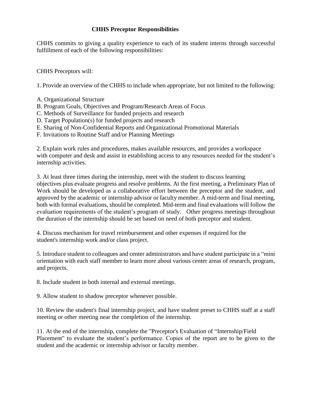#### **CHHS Preceptor Responsibilities**

CHHS commits to giving a quality experience to each of its student interns through successful fulfillment of each of the following responsibilities:

CHHS Preceptors will:

1. Provide an overview of the CHHS to include when appropriate, but not limited to the following:

- A. Organizational Structure
- B. Program Goals, Objectives and Program/Research Areas of Focus
- C. Methods of Surveillance for funded projects and research
- D. Target Population(s) for funded projects and research
- E. Sharing of Non-Confidential Reports and Organizational Promotional Materials
- F. Invitations to Routine Staff and/or Planning Meetings

2. Explain work rules and procedures, makes available resources, and provides a workspace with computer and desk and assist in establishing access to any resources needed for the student's internship activities.

3. At least three times during the internship, meet with the student to discuss learning objectives plus evaluate progress and resolve problems. At the first meeting, a Preliminary Plan of Work should be developed as a collaborative effort between the preceptor and the student, and approved by the academic or internship advisor or faculty member. A mid-term and final meeting, both with formal evaluations, should be completed. Mid-term and final evaluations will follow the evaluation requirements of the student's program of study. Other progress meetings throughout the duration of the internship should be set based on need of both preceptor and student.

4. Discuss mechanism for travel reimbursement and other expenses if required for the student's internship work and/or class project.

5. Introduce student to colleagues and center administrators and have student participate in a "mini orientation with each staff member to learn more about various center areas of research, program, and projects.

8. Include student in both internal and external meetings.

9. Allow student to shadow preceptor whenever possible.

10. Review the student's final internship project, and have student preset to CHHS staff at a staff meeting or other meeting near the completion of the internship.

11. At the end of the internship, complete the "Preceptor's Evaluation of "Internship/Field Placement" to evaluate the student's performance. Copies of the report are to be given to the student and the academic or internship advisor or faculty member.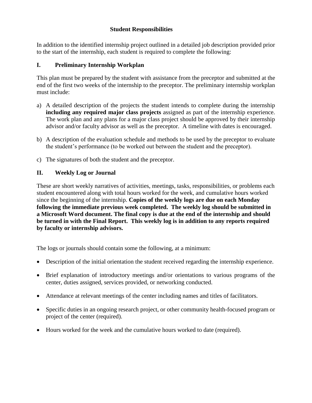#### **Student Responsibilities**

In addition to the identified internship project outlined in a detailed job description provided prior to the start of the internship, each student is required to complete the following:

#### **I. Preliminary Internship Workplan**

This plan must be prepared by the student with assistance from the preceptor and submitted at the end of the first two weeks of the internship to the preceptor. The preliminary internship workplan must include:

- a) A detailed description of the projects the student intends to complete during the internship **including any required major class projects** assigned as part of the internship experience. The work plan and any plans for a major class project should be approved by their internship advisor and/or faculty advisor as well as the preceptor. A timeline with dates is encouraged.
- b) A description of the evaluation schedule and methods to be used by the preceptor to evaluate the student's performance (to be worked out between the student and the preceptor).
- c) The signatures of both the student and the preceptor.

#### **II. Weekly Log or Journal**

These are short weekly narratives of activities, meetings, tasks, responsibilities, or problems each student encountered along with total hours worked for the week, and cumulative hours worked since the beginning of the internship. **Copies of the weekly logs are due on each Monday following the immediate previous week completed. The weekly log should be submitted in a Microsoft Word document. The final copy is due at the end of the internship and should be turned in with the Final Report. This weekly log is in addition to any reports required by faculty or internship advisors.**

The logs or journals should contain some the following, at a minimum:

- Description of the initial orientation the student received regarding the internship experience.
- Brief explanation of introductory meetings and/or orientations to various programs of the center, duties assigned, services provided, or networking conducted.
- Attendance at relevant meetings of the center including names and titles of facilitators.
- Specific duties in an ongoing research project, or other community health-focused program or project of the center (required).
- Hours worked for the week and the cumulative hours worked to date (required).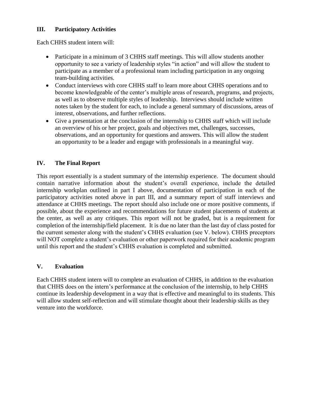#### **III. Participatory Activities**

Each CHHS student intern will:

- Participate in a minimum of 3 CHHS staff meetings. This will allow students another opportunity to see a variety of leadership styles "in action" and will allow the student to participate as a member of a professional team including participation in any ongoing team-building activities.
- Conduct interviews with core CHHS staff to learn more about CHHS operations and to become knowledgeable of the center's multiple areas of research, programs, and projects, as well as to observe multiple styles of leadership. Interviews should include written notes taken by the student for each, to include a general summary of discussions, areas of interest, observations, and further reflections.
- Give a presentation at the conclusion of the internship to CHHS staff which will include an overview of his or her project, goals and objectives met, challenges, successes, observations, and an opportunity for questions and answers. This will allow the student an opportunity to be a leader and engage with professionals in a meaningful way.

#### **IV. The Final Report**

This report essentially is a student summary of the internship experience. The document should contain narrative information about the student's overall experience, include the detailed internship workplan outlined in part I above, documentation of participation in each of the participatory activities noted above in part III, and a summary report of staff interviews and attendance at CHHS meetings. The report should also include one or more positive comments, if possible, about the experience and recommendations for future student placements of students at the center, as well as any critiques. This report will not be graded, but is a requirement for completion of the internship/field placement. It is due no later than the last day of class posted for the current semester along with the student's CHHS evaluation (see V. below). CHHS preceptors will NOT complete a student's evaluation or other paperwork required for their academic program until this report and the student's CHHS evaluation is completed and submitted.

#### **V. Evaluation**

Each CHHS student intern will to complete an evaluation of CHHS, in addition to the evaluation that CHHS does on the intern's performance at the conclusion of the internship, to help CHHS continue its leadership development in a way that is effective and meaningful to its students. This will allow student self-reflection and will stimulate thought about their leadership skills as they venture into the workforce.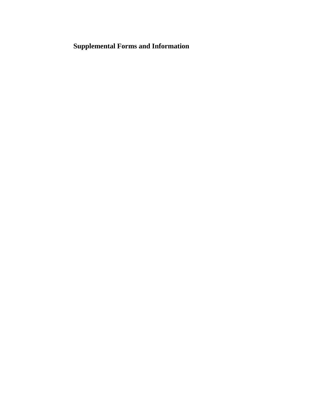# **Supplemental Forms and Information**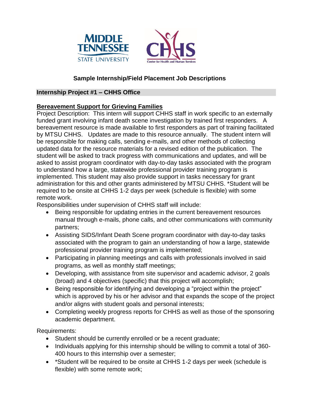



#### **Sample Internship/Field Placement Job Descriptions**

#### **Internship Project #1 – CHHS Office**

#### **Bereavement Support for Grieving Families**

Project Description: This intern will support CHHS staff in work specific to an externally funded grant involving infant death scene investigation by trained first responders. A bereavement resource is made available to first responders as part of training facilitated by MTSU CHHS. Updates are made to this resource annually. The student intern will be responsible for making calls, sending e-mails, and other methods of collecting updated data for the resource materials for a revised edition of the publication. The student will be asked to track progress with communications and updates, and will be asked to assist program coordinator with day-to-day tasks associated with the program to understand how a large, statewide professional provider training program is implemented. This student may also provide support in tasks necessary for grant administration for this and other grants administered by MTSU CHHS. \*Student will be required to be onsite at CHHS 1-2 days per week (schedule is flexible) with some remote work.

Responsibilities under supervision of CHHS staff will include:

- Being responsible for updating entries in the current bereavement resources manual through e-mails, phone calls, and other communications with community partners;
- Assisting SIDS/Infant Death Scene program coordinator with day-to-day tasks associated with the program to gain an understanding of how a large, statewide professional provider training program is implemented;
- Participating in planning meetings and calls with professionals involved in said programs, as well as monthly staff meetings;
- Developing, with assistance from site supervisor and academic advisor, 2 goals (broad) and 4 objectives (specific) that this project will accomplish;
- Being responsible for identifying and developing a "project within the project" which is approved by his or her advisor and that expands the scope of the project and/or aligns with student goals and personal interests;
- Completing weekly progress reports for CHHS as well as those of the sponsoring academic department.

Requirements:

- Student should be currently enrolled or be a recent graduate;
- Individuals applying for this internship should be willing to commit a total of 360-400 hours to this internship over a semester;
- \*Student will be required to be onsite at CHHS 1-2 days per week (schedule is flexible) with some remote work;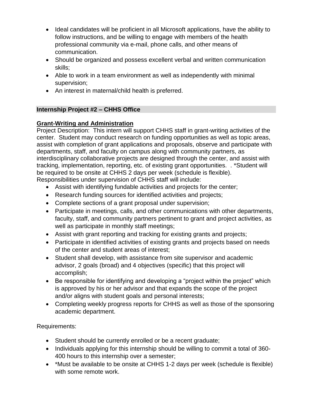- Ideal candidates will be proficient in all Microsoft applications, have the ability to follow instructions, and be willing to engage with members of the health professional community via e-mail, phone calls, and other means of communication.
- Should be organized and possess excellent verbal and written communication skills;
- Able to work in a team environment as well as independently with minimal supervision;
- An interest in maternal/child health is preferred.

# **Internship Project #2 – CHHS Office**

# **Grant-Writing and Administration**

Project Description: This intern will support CHHS staff in grant-writing activities of the center. Student may conduct research on funding opportunities as well as topic areas, assist with completion of grant applications and proposals, observe and participate with departments, staff, and faculty on campus along with community partners, as interdisciplinary collaborative projects are designed through the center, and assist with tracking, implementation, reporting, etc. of existing grant opportunities. . \*Student will be required to be onsite at CHHS 2 days per week (schedule is flexible). Responsibilities under supervision of CHHS staff will include:

- Assist with identifying fundable activities and projects for the center;
- Research funding sources for identified activities and projects;
- Complete sections of a grant proposal under supervision;
- Participate in meetings, calls, and other communications with other departments, faculty, staff, and community partners pertinent to grant and project activities, as well as participate in monthly staff meetings;
- Assist with grant reporting and tracking for existing grants and projects;
- Participate in identified activities of existing grants and projects based on needs of the center and student areas of interest;
- Student shall develop, with assistance from site supervisor and academic advisor, 2 goals (broad) and 4 objectives (specific) that this project will accomplish;
- Be responsible for identifying and developing a "project within the project" which is approved by his or her advisor and that expands the scope of the project and/or aligns with student goals and personal interests;
- Completing weekly progress reports for CHHS as well as those of the sponsoring academic department.

Requirements:

- Student should be currently enrolled or be a recent graduate;
- Individuals applying for this internship should be willing to commit a total of 360-400 hours to this internship over a semester;
- \*Must be available to be onsite at CHHS 1-2 days per week (schedule is flexible) with some remote work.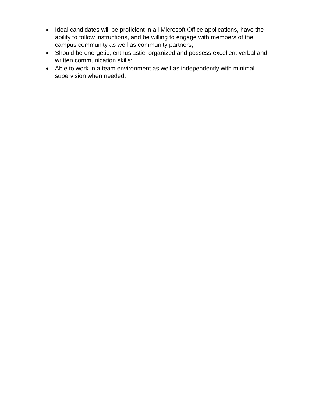- Ideal candidates will be proficient in all Microsoft Office applications, have the ability to follow instructions, and be willing to engage with members of the campus community as well as community partners;
- Should be energetic, enthusiastic, organized and possess excellent verbal and written communication skills;
- Able to work in a team environment as well as independently with minimal supervision when needed;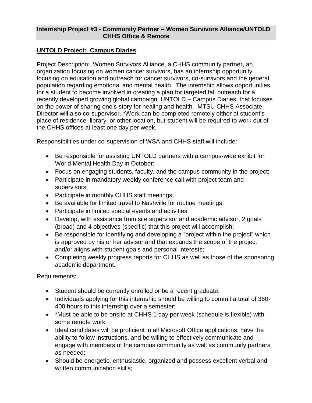#### **Internship Project #3 - Community Partner – Women Survivors Alliance/UNTOLD CHHS Office & Remote**

#### **UNTOLD Project: Campus Diaries**

Project Description: Women Survivors Alliance, a CHHS community partner, an organization focusing on women cancer survivors, has an internship opportunity focusing on education and outreach for cancer survivors, co-survivors and the general population regarding emotional and mental health. The internship allows opportunities for a student to become involved in creating a plan for targeted fall outreach for a recently developed growing global campaign, UNTOLD – Campus Diaries, that focuses on the power of sharing one's story for healing and health. MTSU CHHS Associate Director will also co-supervisor. \*Work can be completed remotely either at student's place of residence, library, or other location, but student will be required to work out of the CHHS offices at least one day per week.

Responsibilities under co-supervision of WSA and CHHS staff will include:

- Be responsible for assisting UNTOLD partners with a campus-wide exhibit for World Mental Health Day in October;
- Focus on engaging students, faculty, and the campus community in the project;
- Participate in mandatory weekly conference call with project team and supervisors;
- Participate in monthly CHHS staff meetings;
- Be available for limited travel to Nashville for routine meetings;
- Participate in limited special events and activities;
- Develop, with assistance from site supervisor and academic advisor, 2 goals (broad) and 4 objectives (specific) that this project will accomplish;
- Be responsible for identifying and developing a "project within the project" which is approved by his or her advisor and that expands the scope of the project and/or aligns with student goals and personal interests;
- Completing weekly progress reports for CHHS as well as those of the sponsoring academic department.

Requirements:

- Student should be currently enrolled or be a recent graduate;
- Individuals applying for this internship should be willing to commit a total of 360-400 hours to this internship over a semester;
- \*Must be able to be onsite at CHHS 1 day per week (schedule is flexible) with some remote work.
- Ideal candidates will be proficient in all Microsoft Office applications, have the ability to follow instructions, and be willing to effectively communicate and engage with members of the campus community as well as community partners as needed;
- Should be energetic, enthusiastic, organized and possess excellent verbal and written communication skills;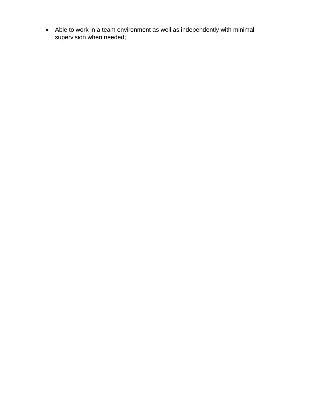Able to work in a team environment as well as independently with minimal supervision when needed;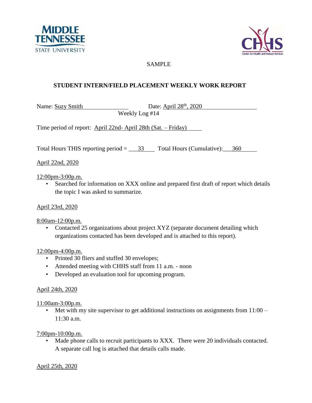



### SAMPLE

## **STUDENT INTERN/FIELD PLACEMENT WEEKLY WORK REPORT**

Name: Suzy Smith Date: April 28<sup>th</sup>, 2020

Weekly Log #14

Time period of report: April 22nd- April 28th (Sat. – Friday)

Total Hours THIS reporting period  $=$   $\_\,$  33 Total Hours (Cumulative):  $\_\,$  360

April 22nd, 2020

12:00pm-3:00p.m.

• Searched for information on XXX online and prepared first draft of report which details the topic I was asked to summarize.

April 23rd, 2020

8:00am-12:00p.m.

• Contacted 25 organizations about project XYZ (separate document detailing which organizations contacted has been developed and is attached to this report).

12:00pm-4:00p.m.

- Printed 30 fliers and stuffed 30 envelopes;
- Attended meeting with CHHS staff from 11 a.m. noon
- Developed an evaluation tool for upcoming program.

#### April 24th, 2020

11:00am-3:00p.m.

• Met with my site supervisor to get additional instructions on assignments from  $11:00 -$ 11:30 a.m.

7:00pm-10:00p.m.

• Made phone calls to recruit participants to XXX. There were 20 individuals contacted. A separate call log is attached that details calls made.

April 25th, 2020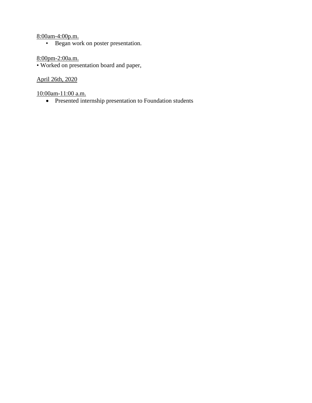#### 8:00am-4:00p.m.

• Began work on poster presentation.

#### 8:00pm-2:00a.m.

• Worked on presentation board and paper,

## April 26th, 2020

10:00am-11:00 a.m.

• Presented internship presentation to Foundation students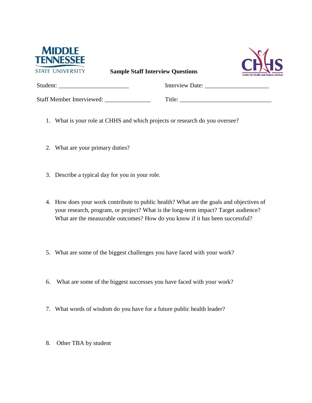

**Sample Staff Interview Questions**



| Student:                         | Interview Date: |
|----------------------------------|-----------------|
| <b>Staff Member Interviewed:</b> | Title:          |

- 1. What is your role at CHHS and which projects or research do you oversee?
- 2. What are your primary duties?
- 3. Describe a typical day for you in your role.
- 4. How does your work contribute to public health? What are the goals and objectives of your research, program, or project? What is the long-term impact? Target audience? What are the measurable outcomes? How do you know if it has been successful?
- 5. What are some of the biggest challenges you have faced with your work?
- 6. What are some of the biggest successes you have faced with your work?
- 7. What words of wisdom do you have for a future public health leader?
- 8. Other TBA by student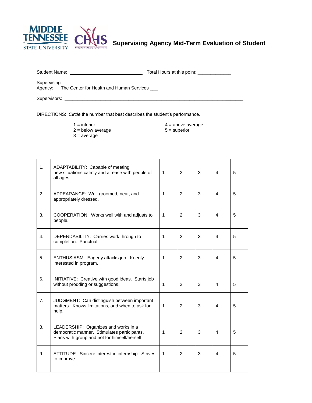

**Supervising Agency Mid-Term Evaluation of Student**

| <b>Student Name:</b> | Total Hours at this point: |
|----------------------|----------------------------|
|                      |                            |

Supervising

Agency: The Center for Health and Human Services \_\_\_\_\_\_\_\_\_\_\_\_\_\_\_\_\_\_\_\_\_\_\_\_\_\_\_\_\_\_\_

Supervisors: \_\_\_\_\_\_\_\_\_\_\_\_\_\_\_\_\_\_\_\_\_\_\_\_\_\_\_\_\_\_\_\_\_\_\_\_\_\_\_\_\_\_\_\_\_\_\_\_\_\_\_\_\_\_\_\_\_\_\_\_\_\_\_\_\_\_\_\_\_\_

DIRECTIONS: *Circle* the number that best describes the student's performance.

- 
- $2 =$  below average  $5 =$  superior
- $3 = average$

 $1 =$  inferior  $4 =$  above average

- 
- 1. ADAPTABILITY: Capable of meeting new situations calmly and at ease with people of all ages. 1 | 2 | 3 | 4 | 5 2. APPEARANCE: Well-groomed, neat, and appropriately dressed. 1 | 2 | 3 | 4 | 5 3. COOPERATION: Works well with and adjusts to people. 1 | 2 | 3 | 4 | 5 4. DEPENDABILITY: Carries work through to completion. Punctual. 1 | 2 | 3 | 4 | 5 5. ENTHUSIASM: Eagerly attacks job. Keenly interested in program. 1 | 2 | 3 | 4 | 5 6. INITIATIVE: Creative with good ideas. Starts job without prodding or suggestions.  $\begin{array}{ccc} | & 1 & | & 2 & | & 3 & | & 4 \end{array}$  5 7. JUDGMENT: Can distinguish between important matters. Knows limitations, and when to ask for help. 1 | 2 | 3 | 4 | 5 8. | LEADERSHIP: Organizes and works in a democratic manner. Stimulates participants. Plans with group and not for himself/herself. 1 | 2 | 3 | 4 | 5 9. ATTITUDE: Sincere interest in internship. Strives to improve. 1 | 2 | 3 | 4 | 5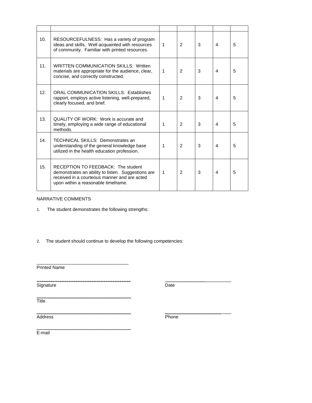| 10. | RESOURCEFULNESS: Has a variety of program<br>ideas and skills. Well acquainted with resources<br>of community. Familiar with printed resources.                                 | $\mathbf{1}$ | $\overline{2}$ | 3 | 4              | 5 |
|-----|---------------------------------------------------------------------------------------------------------------------------------------------------------------------------------|--------------|----------------|---|----------------|---|
| 11. | WRITTEN COMMUNICATION SKILLS: Written<br>materials are appropriate for the audience, clear,<br>concise, and correctly constructed.                                              | $\mathbf{1}$ | $\mathcal{P}$  | 3 | $\overline{A}$ | 5 |
| 12. | ORAL COMMUNICATION SKILLS: Establishes<br>rapport, employs active listening, well-prepared,<br>clearly focused, and brief.                                                      | $\mathbf{1}$ | $\overline{2}$ | 3 | 4              | 5 |
| 13. | QUALITY OF WORK: Work is accurate and<br>timely, employing a wide range of educational<br>methods.                                                                              | 1            | $\overline{2}$ | 3 | 4              | 5 |
| 14. | <b>TECHNICAL SKILLS: Demonstrates an</b><br>understanding of the general knowledge base<br>utilized in the health education profession.                                         | 1            | $\overline{2}$ | 3 | 4              | 5 |
| 15. | RECEPTION TO FEEDBACK: The student<br>demonstrates an ability to listen. Suggestions are<br>received in a courteous manner and are acted<br>upon within a reasonable timeframe. | 1            | $\overline{2}$ | 3 | 4              | 5 |

#### NARRATIVE COMMENTS

1. The student demonstrates the following strengths:

\_\_\_\_\_\_\_\_\_\_\_\_\_\_\_\_\_\_\_\_\_\_\_\_\_\_\_\_\_\_\_\_\_\_\_\_

\_\_\_\_\_\_\_\_\_\_\_\_\_\_\_\_\_\_\_\_\_\_\_\_\_\_\_\_\_\_\_\_\_\_\_\_\_

2. The student should continue to develop the following competencies:

Printed Name

*\_\_\_\_\_\_\_\_\_\_\_\_\_\_\_\_\_\_\_\_\_\_\_\_\_\_\_\_\_\_\_\_\_\_\_\_\_\_\_\_\_* \_\_\_\_\_\_\_\_\_\_\_\_\_\_\_\_\_\_\_\_\_\_\_\_\_\_ Signature Date

\_\_\_\_\_\_\_\_\_\_\_\_\_\_\_\_\_\_\_\_\_\_\_\_\_\_\_\_\_\_\_\_\_\_\_\_\_ **Title** 

\_\_\_\_\_\_\_\_\_\_\_\_\_\_\_\_\_\_\_\_\_\_\_\_\_\_\_\_\_\_\_\_\_\_\_\_\_ \_\_\_\_\_\_\_\_\_\_\_\_\_\_\_\_\_\_\_\_\_\_\_\_\_\_ Address Phone

E-mail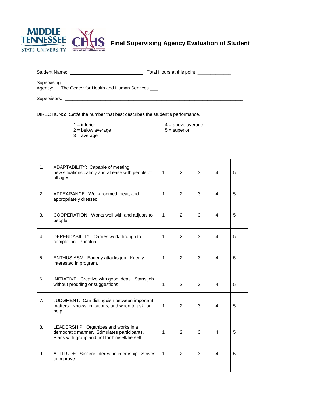

**Final Supervising Agency Evaluation of Student**

| Student Name: | Total Hours at this point: |
|---------------|----------------------------|

Supervising

Agency: The Center for Health and Human Services \_\_\_\_\_\_\_\_\_\_\_\_\_\_\_\_\_\_\_\_\_\_\_\_\_\_\_\_\_\_\_

Supervisors: \_\_\_\_\_\_\_\_\_\_\_\_\_\_\_\_\_\_\_\_\_\_\_\_\_\_\_\_\_\_\_\_\_\_\_\_\_\_\_\_\_\_\_\_\_\_\_\_\_\_\_\_\_\_\_\_\_\_\_\_\_\_\_\_\_\_\_\_\_\_

DIRECTIONS: *Circle* the number that best describes the student's performance.

- 
- $2 =$  below average
- $3 = average$

 $1 =$  inferior  $4 =$  above average  $2 =$  below average  $5 =$  superior

| 1. | ADAPTABILITY: Capable of meeting<br>new situations calmly and at ease with people of<br>all ages.                                    |   | $\mathfrak{p}$ | 3 | 4              | 5 |
|----|--------------------------------------------------------------------------------------------------------------------------------------|---|----------------|---|----------------|---|
| 2. | APPEARANCE: Well-groomed, neat, and<br>appropriately dressed.                                                                        | 1 | $\mathcal{P}$  | 3 | 4              | 5 |
| 3. | COOPERATION: Works well with and adjusts to<br>people.                                                                               | 1 | $\mathcal{P}$  | 3 | 4              | 5 |
| 4. | DEPENDABILITY: Carries work through to<br>completion. Punctual.                                                                      |   | $\overline{2}$ | 3 | 4              | 5 |
| 5. | ENTHUSIASM: Eagerly attacks job. Keenly<br>interested in program.                                                                    |   | $\mathcal{P}$  | 3 | $\overline{4}$ | 5 |
| 6. | INITIATIVE: Creative with good ideas. Starts job<br>without prodding or suggestions.                                                 |   | $\mathcal{P}$  | 3 | $\overline{4}$ | 5 |
| 7. | JUDGMENT: Can distinguish between important<br>matters. Knows limitations, and when to ask for<br>help.                              |   | 2              | 3 | $\overline{4}$ | 5 |
| 8. | LEADERSHIP: Organizes and works in a<br>democratic manner. Stimulates participants.<br>Plans with group and not for himself/herself. |   | 2              | 3 | 4              | 5 |
| 9. | ATTITUDE: Sincere interest in internship. Strives<br>to improve.                                                                     |   | $\overline{2}$ | 3 | 4              | 5 |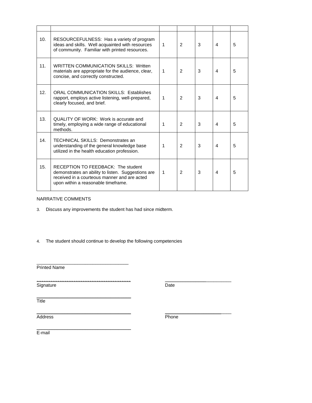| 10. | RESOURCEFULNESS: Has a variety of program<br>ideas and skills. Well acquainted with resources<br>of community. Familiar with printed resources.                                 | 1 | $\overline{2}$ | 3 | 4 | 5 |
|-----|---------------------------------------------------------------------------------------------------------------------------------------------------------------------------------|---|----------------|---|---|---|
| 11. | <b>WRITTEN COMMUNICATION SKILLS: Written</b><br>materials are appropriate for the audience, clear,<br>concise, and correctly constructed.                                       | 1 | $\overline{2}$ | 3 | 4 | 5 |
| 12. | <b>ORAL COMMUNICATION SKILLS: Establishes</b><br>rapport, employs active listening, well-prepared,<br>clearly focused, and brief.                                               | 1 | $\overline{2}$ | 3 | 4 | 5 |
| 13. | QUALITY OF WORK: Work is accurate and<br>timely, employing a wide range of educational<br>methods.                                                                              | 1 | $\overline{2}$ | 3 | 4 | 5 |
| 14. | TECHNICAL SKILLS: Demonstrates an<br>understanding of the general knowledge base<br>utilized in the health education profession.                                                | 1 | 2              | 3 | 4 | 5 |
| 15. | RECEPTION TO FEEDBACK: The student<br>demonstrates an ability to listen. Suggestions are<br>received in a courteous manner and are acted<br>upon within a reasonable timeframe. | 1 | $\overline{2}$ | 3 | 4 | 5 |

#### NARRATIVE COMMENTS

- 3. Discuss any improvements the student has had since midterm.
- 4. The student should continue to develop the following competencies

\_\_\_\_\_\_\_\_\_\_\_\_\_\_\_\_\_\_\_\_\_\_\_\_\_\_\_\_\_\_\_\_\_\_\_\_

\_\_\_\_\_\_\_\_\_\_\_\_\_\_\_\_\_\_\_\_\_\_\_\_\_\_\_\_\_\_\_\_\_\_\_\_\_

Printed Name

*\_\_\_\_\_\_\_\_\_\_\_\_\_\_\_\_\_\_\_\_\_\_\_\_\_\_\_\_\_\_\_\_\_\_\_\_\_\_\_\_\_* \_\_\_\_\_\_\_\_\_\_\_\_\_\_\_\_\_\_\_\_\_\_\_\_\_\_ Signature Date

\_\_\_\_\_\_\_\_\_\_\_\_\_\_\_\_\_\_\_\_\_\_\_\_\_\_\_\_\_\_\_\_\_\_\_\_\_ **Title** 

Address Phone

\_\_\_\_\_\_\_\_\_\_\_\_\_\_\_\_\_\_\_\_\_\_\_\_\_\_\_\_\_\_\_\_\_\_\_\_\_ \_\_\_\_\_\_\_\_\_\_\_\_\_\_\_\_\_\_\_\_\_\_\_\_\_\_

E-mail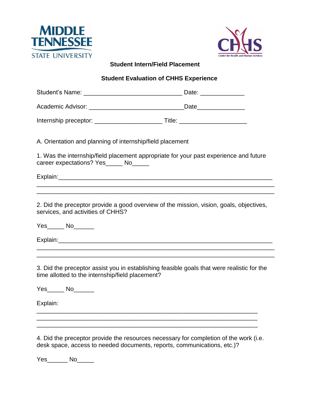



### **Student Intern/Field Placement**

# **Student Evaluation of CHHS Experience**

| A. Orientation and planning of internship/field placement                                                                                                        |
|------------------------------------------------------------------------------------------------------------------------------------------------------------------|
| 1. Was the internship/field placement appropriate for your past experience and future<br>career expectations? Yes_____ No_____                                   |
|                                                                                                                                                                  |
| 2. Did the preceptor provide a good overview of the mission, vision, goals, objectives,<br>services, and activities of CHHS?                                     |
| Yes______ No______                                                                                                                                               |
| 3. Did the preceptor assist you in establishing feasible goals that were realistic for the<br>time allotted to the internship/field placement?                   |
| $Yes_$ No                                                                                                                                                        |
| Explain:                                                                                                                                                         |
| 4. Did the preceptor provide the resources necessary for completion of the work (i.e.<br>desk space, access to needed documents, reports, communications, etc.)? |

Yes\_\_\_\_\_\_\_ No\_\_\_\_\_\_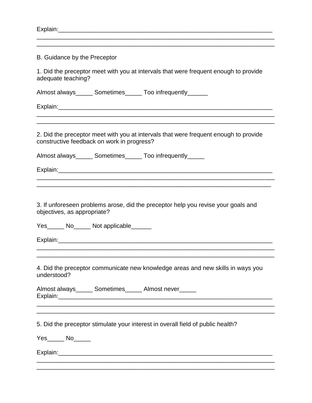| B. Guidance by the Preceptor |                                            |                                                                                                                                                                                                                                |
|------------------------------|--------------------------------------------|--------------------------------------------------------------------------------------------------------------------------------------------------------------------------------------------------------------------------------|
|                              |                                            |                                                                                                                                                                                                                                |
| adequate teaching?           |                                            | 1. Did the preceptor meet with you at intervals that were frequent enough to provide                                                                                                                                           |
|                              |                                            | Almost always_______ Sometimes______ Too infrequently_______                                                                                                                                                                   |
|                              |                                            | ,我们也不能在这里的人,我们也不能在这里的人,我们也不能在这里的人,我们也不能在这里的人,我们也不能在这里的人,我们也不能在这里的人,我们也不能在这里的人,我们也                                                                                                                                              |
|                              | constructive feedback on work in progress? | 2. Did the preceptor meet with you at intervals that were frequent enough to provide                                                                                                                                           |
|                              |                                            | Almost always______ Sometimes______ Too infrequently______                                                                                                                                                                     |
|                              |                                            | Explain: explaint and the state of the state of the state of the state of the state of the state of the state of the state of the state of the state of the state of the state of the state of the state of the state of the s |
|                              |                                            | ,我们也不能会在这里,我们的人们就会不能会在这里,我们也不能会不能会不能会不能会不能会不能会不能会不能会不能会不能会。""我们的人们就会不能会不能会不能会不能会                                                                                                                                               |
| objectives, as appropriate?  |                                            | 3. If unforeseen problems arose, did the preceptor help you revise your goals and                                                                                                                                              |
|                              | Yes______ No______ Not applicable______    |                                                                                                                                                                                                                                |
|                              |                                            |                                                                                                                                                                                                                                |
| understood?                  |                                            | 4. Did the preceptor communicate new knowledge areas and new skills in ways you                                                                                                                                                |
|                              |                                            | Almost always_______ Sometimes______ Almost never______<br><u> 1999 - Jan Barnett, fransk politik (d. 1989)</u>                                                                                                                |
|                              |                                            | <u> 1989 - Johann Stoff, amerikansk politiker (d. 1989)</u><br>5. Did the preceptor stimulate your interest in overall field of public health?                                                                                 |
| $Yes$ No $N$                 |                                            |                                                                                                                                                                                                                                |
|                              |                                            |                                                                                                                                                                                                                                |
|                              |                                            |                                                                                                                                                                                                                                |

\_\_\_\_\_\_\_\_\_\_\_\_\_\_\_\_\_\_\_\_\_\_\_\_\_\_\_\_\_\_\_\_\_\_\_\_\_\_\_\_\_\_\_\_\_\_\_\_\_\_\_\_\_\_\_\_\_\_\_\_\_\_\_\_\_\_\_\_\_\_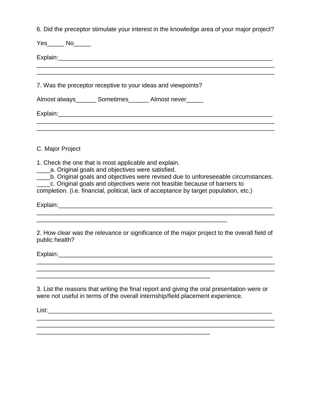6. Did the preceptor stimulate your interest in the knowledge area of your major project?

| Explain: Explain:                                                                                                                                                                                                                                                                                                                                                                                 |
|---------------------------------------------------------------------------------------------------------------------------------------------------------------------------------------------------------------------------------------------------------------------------------------------------------------------------------------------------------------------------------------------------|
| 7. Was the preceptor receptive to your ideas and viewpoints?                                                                                                                                                                                                                                                                                                                                      |
| Almost always________ Sometimes________ Almost never______                                                                                                                                                                                                                                                                                                                                        |
|                                                                                                                                                                                                                                                                                                                                                                                                   |
|                                                                                                                                                                                                                                                                                                                                                                                                   |
| C. Major Project                                                                                                                                                                                                                                                                                                                                                                                  |
| 1. Check the one that is most applicable and explain.<br>a. Original goals and objectives were satisfied.<br>b. Original goals and objectives were revised due to unforeseeable circumstances.<br>$\overline{\phantom{a}}$<br>c. Original goals and objectives were not feasible because of barriers to<br>completion. (i.e. financial, political, lack of acceptance by target population, etc.) |
|                                                                                                                                                                                                                                                                                                                                                                                                   |
| 2. How clear was the relevance or significance of the major project to the overall field of<br>public health?                                                                                                                                                                                                                                                                                     |
| Explain: Explain:                                                                                                                                                                                                                                                                                                                                                                                 |
|                                                                                                                                                                                                                                                                                                                                                                                                   |
| 3. List the reasons that writing the final report and giving the oral presentation were or<br>were not useful in terms of the overall internship/field placement experience.                                                                                                                                                                                                                      |
|                                                                                                                                                                                                                                                                                                                                                                                                   |
|                                                                                                                                                                                                                                                                                                                                                                                                   |

\_\_\_\_\_\_\_\_\_\_\_\_\_\_\_\_\_\_\_\_\_\_\_\_\_\_\_\_\_\_\_\_\_\_\_\_\_\_\_\_\_\_\_\_\_\_\_\_\_\_\_\_\_\_\_\_\_\_\_\_\_\_\_\_\_\_\_\_\_\_